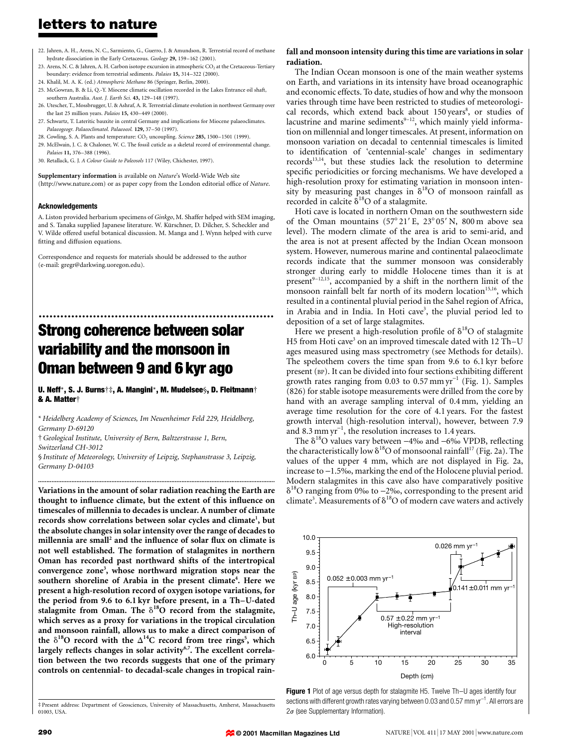# letters to nature

- 22. Jahren, A. H., Arens, N. C., Sarmiento, G., Guerro, J. & Amundson, R. Terrestrial record of methane hydrate dissociation in the Early Cretaceous. Geology 29, 159-162 (2001).
- 23. Arens, N. C. & Jahren, A. H. Carbon isotope excursion in atmospheric CO<sub>2</sub> at the Cretaceous-Tertiary boundary: evidence from terrestrial sediments. Palaios 15, 314-322 (2000).
- 24. Khalil, M. A. K. (ed.) Atmospheric Methane 86 (Springer, Berlin, 2000).
- 25. McGowran, B. & Li, Q.-Y. Miocene climatic oscillation recorded in the Lakes Entrance oil shaft, southern Australia. Aust. J. Earth Sci. 43, 129-148 (1997).
- 26. Utescher, T., Mossbrugger, U. & Ashraf, A. R. Terrestrial climate evolution in northwest Germany over the last  $25$  million years. *Palaios*  $15, 430-449$  (2000).
- 27. Schwartz, T. Lateritic bauxite in central Germany and implications for Miocene palaeoclimates. Palaeogeogr. Palaeoclimatol. Palaeoeol. 129, 37-50 (1997).
- 28. Cowling, S. A. Plants and temperature: CO<sub>2</sub> uncoupling. Science 285, 1500-1501 (1999).
- 29. McElwain, J. C. & Chaloner, W. C. The fossil cuticle as a skeletal record of environmental change. Palaios 11, 376-388 (1996).
- 30. Retallack, G. J. A Colour Guide to Paleosols 117 (Wiley, Chichester, 1997).

Supplementary information is available on Nature's World-Wide Web site (http://www.nature.com) or as paper copy from the London editorial office of Nature.

#### Acknowledgements

A. Liston provided herbarium specimens of Ginkgo, M. Shaffer helped with SEM imaging, and S. Tanaka supplied Japanese literature. W. Kürschner, D. Dilcher, S. Scheckler and V. Wilde offered useful botanical discussion. M. Manga and J. Wynn helped with curve fitting and diffusion equations.

Correspondence and requests for materials should be addressed to the author (e-mail: gregr@darkwing.uoregon.edu).

# ................................................................. Strong coherence between solar variability and the monsoon in Oman between 9 and 6 kyr ago

U. Neff\*, S. J. Burns†‡, A. Mangini\*, M. Mudelsee§, D. Fleitmann† & A. Matter<sup>+</sup>

\* Heidelberg Academy of Sciences, Im Neuenheimer Feld 229, Heidelberg, Germany D-69120

²Geological Institute, University of Bern, Baltzerstrasse 1, Bern, Switzerland CH-3012

§ Institute of Meteorology, University of Leipzig, Stephanstrasse 3, Leipzig, Germany D-04103

..............................................................................................................................................

Variations in the amount of solar radiation reaching the Earth are thought to influence climate, but the extent of this influence on timescales of millennia to decades is unclear. A number of climate records show correlations between solar cycles and climate<sup>1</sup>, but the absolute changes in solar intensity over the range of decades to millennia are small<sup>2</sup> and the influence of solar flux on climate is not well established. The formation of stalagmites in northern Oman has recorded past northward shifts of the intertropical convergence zone<sup>3</sup>, whose northward migration stops near the southern shoreline of Arabia in the present climate<sup>4</sup>. Here we present a high-resolution record of oxygen isotope variations, for the period from 9.6 to 6.1 kyr before present, in a Th-U-dated stalagmite from Oman. The  $\delta^{18}$ O record from the stalagmite, which serves as a proxy for variations in the tropical circulation and monsoon rainfall, allows us to make a direct comparison of the  $\delta^{18}$ O record with the  $\Delta^{14}$ C record from tree rings<sup>5</sup>, which largely reflects changes in solar activity<sup>6,7</sup>. The excellent correlation between the two records suggests that one of the primary controls on centennial- to decadal-scale changes in tropical rain-

### fall and monsoon intensity during this time are variations in solar radiation.

The Indian Ocean monsoon is one of the main weather systems on Earth, and variations in its intensity have broad oceanographic and economic effects. To date, studies of how and why the monsoon varies through time have been restricted to studies of meteorological records, which extend back about 150 years<sup>8</sup>, or studies of lacustrine and marine sediments $9-12$ , which mainly yield information on millennial and longer timescales. At present, information on monsoon variation on decadal to centennial timescales is limited to identification of 'centennial-scale' changes in sedimentary records<sup>13,14</sup>, but these studies lack the resolution to determine specific periodicities or forcing mechanisms. We have developed a high-resolution proxy for estimating variation in monsoon intensity by measuring past changes in  $\delta^{18}O$  of monsoon rainfall as recorded in calcite  $\delta^{18}$ O of a stalagmite.

Hoti cave is located in northern Oman on the southwestern side of the Oman mountains  $(57^{\circ}21' E, 23^{\circ}05' N, 800 m$  above sea level). The modern climate of the area is arid to semi-arid, and the area is not at present affected by the Indian Ocean monsoon system. However, numerous marine and continental palaeoclimate records indicate that the summer monsoon was considerably stronger during early to middle Holocene times than it is at present $9-12,15$ , accompanied by a shift in the northern limit of the monsoon rainfall belt far north of its modern location<sup>15,16</sup>, which resulted in a continental pluvial period in the Sahel region of Africa, in Arabia and in India. In Hoti cave<sup>3</sup>, the pluvial period led to deposition of a set of large stalagmites.

Here we present a high-resolution profile of  $\delta^{18}O$  of stalagmite H5 from Hoti cave<sup>3</sup> on an improved timescale dated with  $12$  Th–U ages measured using mass spectrometry (see Methods for details). The speleothem covers the time span from 9.6 to 6.1 kyr before present (BP). It can be divided into four sections exhibiting different growth rates ranging from 0.03 to 0.57 mm  $yr^{-1}$  (Fig. 1). Samples (826) for stable isotope measurements were drilled from the core by hand with an average sampling interval of 0.4 mm, yielding an average time resolution for the core of 4.1 years. For the fastest growth interval (high-resolution interval), however, between 7.9 and 8.3 mm  $yr^{-1}$ , the resolution increases to 1.4 years.

The  $\delta^{18}$ O values vary between  $-4\%$  and  $-6\%$  VPDB, reflecting the characteristically low  $\delta^{18}O$  of monsoonal rainfall<sup>17</sup> (Fig. 2a). The values of the upper 4 mm, which are not displayed in Fig. 2a, increase to  $-1.5\%$ , marking the end of the Holocene pluvial period. Modern stalagmites in this cave also have comparatively positive  $\delta^{18}$ O ranging from 0‰ to -2‰, corresponding to the present arid climate<sup>3</sup>. Measurements of  $\delta^{18}O$  of modern cave waters and actively



Figure 1 Plot of age versus depth for stalagmite H5. Twelve Th-U ages identify four sections with different growth rates varying between 0.03 and 0.57 mm yr $^{\rm -1}$ . All errors are  $2\sigma$  (see Supplementary Information).

01003, USA.

³ Present address: Department of Geosciences, University of Massachusetts, Amherst, Massachusetts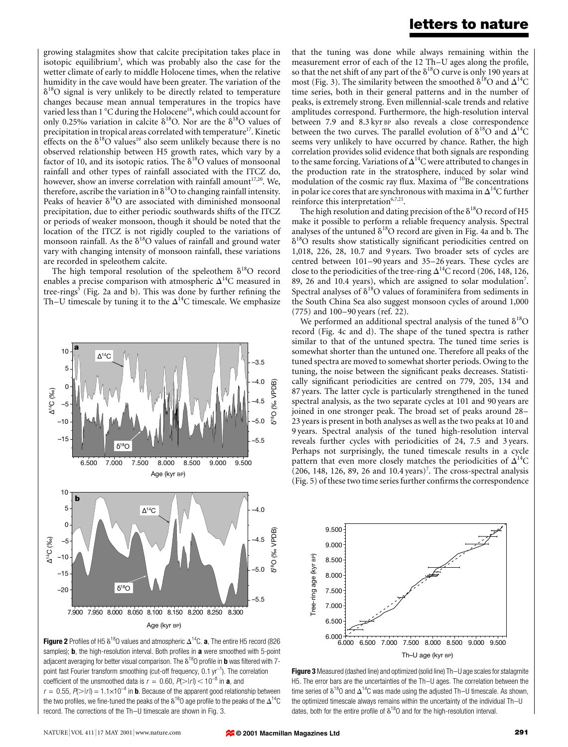## letters to nature

growing stalagmites show that calcite precipitation takes place in isotopic equilibrium<sup>3</sup>, which was probably also the case for the wetter climate of early to middle Holocene times, when the relative humidity in the cave would have been greater. The variation of the  $\delta^{18}$ O signal is very unlikely to be directly related to temperature changes because mean annual temperatures in the tropics have varied less than  $1^{\circ}$ C during the Holocene<sup>18</sup>, which could account for only 0.25‰ variation in calcite  $\delta^{18}O$ . Nor are the  $\delta^{18}O$  values of precipitation in tropical areas correlated with temperature<sup>17</sup>. Kinetic effects on the  $\delta^{18}O$  values<sup>19</sup> also seem unlikely because there is no observed relationship between H5 growth rates, which vary by a factor of 10, and its isotopic ratios. The  $\delta^{18}O$  values of monsoonal rainfall and other types of rainfall associated with the ITCZ do, however, show an inverse correlation with rainfall amount $17,20$ . We, therefore, ascribe the variation in  $\delta^{18}O$  to changing rainfall intensity. Peaks of heavier  $\delta^{18}O$  are associated with diminished monsoonal precipitation, due to either periodic southwards shifts of the ITCZ or periods of weaker monsoon, though it should be noted that the location of the ITCZ is not rigidly coupled to the variations of monsoon rainfall. As the  $\delta^{18}O$  values of rainfall and ground water vary with changing intensity of monsoon rainfall, these variations are recorded in speleothem calcite.

The high temporal resolution of the speleothem  $\delta^{18}O$  record enables a precise comparison with atmospheric  $\Delta^{14}$ C measured in tree-rings<sup>5</sup> (Fig. 2a and b). This was done by further refining the Th–U timescale by tuning it to the  $\Delta^{14}C$  timescale. We emphasize



Figure 2 Profiles of H5  $\delta^{18}$ O values and atmospheric  $\Delta^{14}$ C. a, The entire H5 record (826 samples); **b**, the high-resolution interval. Both profiles in a were smoothed with 5-point adjacent averaging for better visual comparison. The  $\delta^{18}$ O profile in **b** was filtered with 7point fast Fourier transform smoothing (cut-off frequency, 0.1 yr<sup>-1</sup>). The correlation coefficient of the unsmoothed data is  $r = 0.60$ ,  $P(\ge |r|) < 10^{-8}$  in **a**, and  $r = 0.55$ ,  $P(\ge |r|) = 1.1 \times 10^{-4}$  in **b**. Because of the apparent good relationship between the two profiles, we fine-tuned the peaks of the  $\delta^{18}$ O age profile to the peaks of the  $\Delta^{14}$ C record. The corrections of the Th-U timescale are shown in Fig. 3.

that the tuning was done while always remaining within the measurement error of each of the 12 Th-U ages along the profile, so that the net shift of any part of the  $\delta^{18}$ O curve is only 190 years at most (Fig. 3). The similarity between the smoothed  $\delta^{18}O$  and  $\Delta^{14}O$ time series, both in their general patterns and in the number of peaks, is extremely strong. Even millennial-scale trends and relative amplitudes correspond. Furthermore, the high-resolution interval between 7.9 and 8.3 kyr BP also reveals a close correspondence between the two curves. The parallel evolution of  $\delta^{18}O$  and  $\Delta^{14}O$ seems very unlikely to have occurred by chance. Rather, the high correlation provides solid evidence that both signals are responding to the same forcing. Variations of  $\Delta^{14}$ C were attributed to changes in the production rate in the stratosphere, induced by solar wind modulation of the cosmic ray flux. Maxima of  $^{10}$ Be concentrations in polar ice cores that are synchronous with maxima in  $\Delta^{14}$ C further reinforce this interpretation<sup>6,7,21</sup>.

The high resolution and dating precision of the  $\delta^{18}$ O record of H5 make it possible to perform a reliable frequency analysis. Spectral analyses of the untuned  $\delta^{18}O$  record are given in Fig. 4a and b. The  $\delta^{18}$ O results show statistically significant periodicities centred on 1,018, 226, 28, 10.7 and 9 years. Two broader sets of cycles are centred between  $101-90$  years and  $35-26$  years. These cycles are close to the periodicities of the tree-ring  $\Delta^{14}$ C record (206, 148, 126, 89, 26 and 10.4 years), which are assigned to solar modulation<sup>7</sup>. Spectral analyses of  $\delta^{18}O$  values of foraminifera from sediments in the South China Sea also suggest monsoon cycles of around 1,000  $(775)$  and  $100-90$  years (ref. 22).

We performed an additional spectral analysis of the tuned  $\delta^{18}O$ record (Fig. 4c and d). The shape of the tuned spectra is rather similar to that of the untuned spectra. The tuned time series is somewhat shorter than the untuned one. Therefore all peaks of the tuned spectra are moved to somewhat shorter periods. Owing to the tuning, the noise between the significant peaks decreases. Statistically significant periodicities are centred on 779, 205, 134 and 87 years. The latter cycle is particularly strengthened in the tuned spectral analysis, as the two separate cycles at 101 and 90 years are joined in one stronger peak. The broad set of peaks around 28-23 years is present in both analyses as well as the two peaks at 10 and 9 years. Spectral analysis of the tuned high-resolution interval reveals further cycles with periodicities of 24, 7.5 and 3 years. Perhaps not surprisingly, the tuned timescale results in a cycle pattern that even more closely matches the periodicities of  $\Delta^{14}C$  $(206, 148, 126, 89, 26, and 10.4 years)^7$ . The cross-spectral analysis (Fig. 5) of these two time series further confirms the correspondence



Figure 3 Measured (dashed line) and optimized (solid line) Th-U age scales for stalagmite H5. The error bars are the uncertainties of the Th-U ages. The correlation between the time series of  $\delta^{18}$ O and  $\Delta^{14}$ C was made using the adjusted Th–U timescale. As shown, the optimized timescale always remains within the uncertainty of the individual Th-U dates, both for the entire profile of  $\delta^{18}$ O and for the high-resolution interval.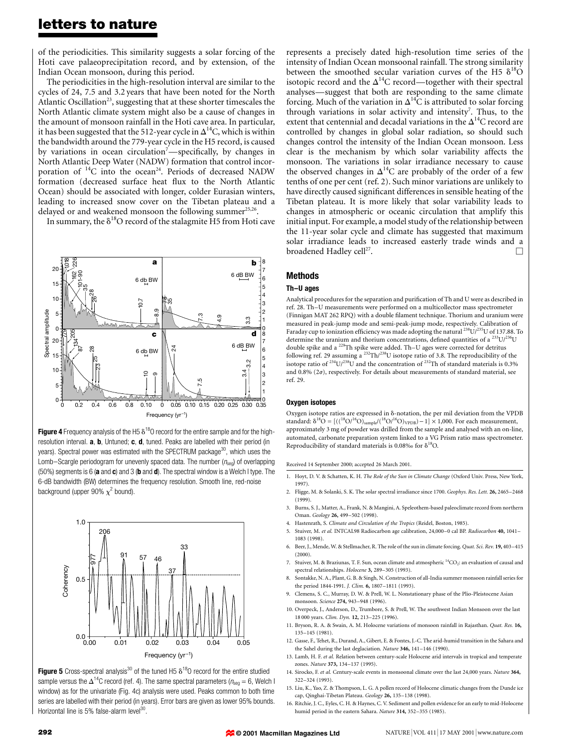## letters to nature

of the periodicities. This similarity suggests a solar forcing of the Hoti cave palaeoprecipitation record, and by extension, of the Indian Ocean monsoon, during this period.

The periodicities in the high-resolution interval are similar to the cycles of 24, 7.5 and 3.2 years that have been noted for the North Atlantic Oscillation<sup>23</sup>, suggesting that at these shorter timescales the North Atlantic climate system might also be a cause of changes in the amount of monsoon rainfall in the Hoti cave area. In particular, it has been suggested that the 512-year cycle in  $\Delta^{14}$ C, which is within the bandwidth around the 779-year cycle in the H5 record, is caused by variations in ocean circulation<sup>7</sup>—specifically, by changes in North Atlantic Deep Water (NADW) formation that control incorporation of  ${}^{14}C$  into the ocean<sup>24</sup>. Periods of decreased NADW formation (decreased surface heat flux to the North Atlantic Ocean) should be associated with longer, colder Eurasian winters, leading to increased snow cover on the Tibetan plateau and a delayed or and weakened monsoon the following summer $^{25,26}$ .

In summary, the  $\delta^{18}O$  record of the stalagmite H5 from Hoti cave



Figure 4 Frequency analysis of the H5  $\delta^{18}$ O record for the entire sample and for the highresolution interval. **a**, **b**, Untuned; **c**, **d**, tuned. Peaks are labelled with their period (in years). Spectral power was estimated with the SPECTRUM package<sup>30</sup>, which uses the Lomb-Scargle periodogram for unevenly spaced data. The number  $(n_{seq})$  of overlapping (50%) segments is 6 (a and c) and 3 (b and  $d$ ). The spectral window is a Welch I type. The 6-dB bandwidth (BW) determines the frequency resolution. Smooth line, red-noise background (upper 90%  $\chi^2$  bound).



**Figure 5** Cross-spectral analysis<sup>30</sup> of the tuned H5  $\delta^{18}$ O record for the entire studied sample versus the  $\Delta^{14}$ C record (ref. 4). The same spectral parameters ( $n_{\text{seq}} = 6$ , Welch I window) as for the univariate (Fig. 4c) analysis were used. Peaks common to both time series are labelled with their period (in years). Error bars are given as lower 95% bounds. Horizontal line is 5% false-alarm level<sup>30</sup>.

represents a precisely dated high-resolution time series of the intensity of Indian Ocean monsoonal rainfall. The strong similarity between the smoothed secular variation curves of the H5  $\delta^{18}$ O isotopic record and the  $\Delta^{14}$ C record—together with their spectral analyses—suggest that both are responding to the same climate forcing. Much of the variation in  $\Delta^{14}$ C is attributed to solar forcing through variations in solar activity and intensity<sup>7</sup>. Thus, to the extent that centennial and decadal variations in the  $\Delta^{14}$ C record are controlled by changes in global solar radiation, so should such changes control the intensity of the Indian Ocean monsoon. Less clear is the mechanism by which solar variability affects the monsoon. The variations in solar irradiance necessary to cause the observed changes in  $\Delta^{14}$ C are probably of the order of a few tenths of one per cent (ref. 2). Such minor variations are unlikely to have directly caused significant differences in sensible heating of the Tibetan plateau. It is more likely that solar variability leads to changes in atmospheric or oceanic circulation that amplify this initial input. For example, a model study of the relationship between the 11-year solar cycle and climate has suggested that maximum solar irradiance leads to increased easterly trade winds and a broadened Hadley cell $^{27}$ .

### Methods

## Th-U ages

Analytical procedures for the separation and purification of Th and U were as described in ref. 28. Th-U measurements were performed on a multicollector mass spectrometer (Finnigan MAT 262 RPQ) with a double filament technique. Thorium and uranium were measured in peak-jump mode and semi-peak-jump mode, respectively. Calibration of Faraday cup to ionization efficiency was made adopting the natural <sup>238</sup>U/<sup>235</sup>U of 137.88. To determine the uranium and thorium concentrations, defined quantities of a  $^{233}$ U/ $^{236}$ U double spike and a <sup>229</sup>Th spike were added. Th-U ages were corrected for detritus following ref. 29 assuming a  $^{232} \text{Th}/^{238}$ U isotope ratio of 3.8. The reproducibility of the isotope ratio of  $^{234}$ U/ $^{238}$ U and the concentration of  $^{232}$ Th of standard materials is 0.3% and 0.8% ( $2\sigma$ ), respectively. For details about measurements of standard material, see ref. 29.

#### Oxygen isotopes

Oxygen isotope ratios are expressed in  $\delta$ -notation, the per mil deviation from the VPDB standard:  $\delta^{18}O = [((^{18}O)^{16}O)_{sample}/(^{18}O)^{16}O)_{VPDB}) - 1] \times 1,000$ . For each measurement, approximately 3 mg of powder was drilled from the sample and analysed with an on-line, automated, carbonate preparation system linked to a VG Prism ratio mass spectrometer. Reproducibility of standard materials is 0.08‰ for  $\delta^{18}O$ .

Received 14 September 2000; accepted 26 March 2001.

- 1. Hoyt, D. V. & Schatten, K. H. The Role of the Sun in Climate Change (Oxford Univ. Press, New York, 1997).
- 2. Fligge, M. & Solanki, S. K. The solar spectral irradiance since 1700. Geophys. Res. Lett. 26, 2465-2468 (1999).
- 3. Burns, S. J., Matter, A., Frank, N. & Mangini, A. Speleothem-based paleoclimate record from northern Oman. Geology 26, 499-502 (1998).
- 4. Hastenrath, S. Climate and Circulation of the Tropics (Reidel, Boston, 1985).
- 5. Stuiver, M. et al. INTCAL98 Radiocarbon age calibration, 24,000-0 cal BP. Radiocarbon 40, 1041-1083 (1998).
- 6. Beer, J., Mende, W. & Stellmacher, R. The role of the sun in climate forcing. Quat. Sci. Rev. 19, 403-415 (2000).
- Stuiver, M. & Braziunas, T. F. Sun, ocean climate and atmospheric <sup>14</sup>CO<sub>2</sub>: an evaluation of causal and spectral relationships. Holocene 3, 289-305 (1993).
- 8. Sontakke, N. A., Plant, G. B. & Singh, N. Construction of all-India summer monsoon rainfall series for the period 1844-1991. J. Clim. 6, 1807-1811 (1993).
- 9. Clemens, S. C., Murray, D. W. & Prell, W. L. Nonstationary phase of the Plio-Pleistocene Asian monsoon. Science 274, 943-948 (1996).
- 10. Overpeck, J., Anderson, D., Trumbore, S. & Prell, W. The southwest Indian Monsoon over the last 18 000 years. Clim. Dyn. 12, 213-225 (1996).
- 11. Bryson, R. A. & Swain, A. M. Holocene variations of monsoon rainfall in Rajasthan. Quat. Res. 16, 135±145 (1981).
- 12. Gasse, F., Tehet, R., Durand, A., Gibert, E. & Fontes, J.-C. The arid-humid transition in the Sahara and the Sahel during the last deglaciation. Nature 346, 141-146 (1990).
- 13. Lamb, H. F. et al. Relation between century-scale Holocene arid intervals in tropical and temperate zones. Nature 373, 134-137 (1995).
- 14. Sirocko, F. et al. Century-scale events in monsoonal climate over the last 24,000 years. Nature 364, 322±324 (1993).
- 15. Liu, K., Yao, Z. & Thompson, L. G. A pollen record of Holocene climatic changes from the Dunde ice cap, Qinghai-Tibetan Plateau. Geology 26, 135-138 (1998).
- 16. Ritchie, J. C., Eyles, C. H. & Haynes, C. V. Sediment and pollen evidence for an early to mid-Holocene humid period in the eastern Sahara. Nature 314, 352-355 (1985).